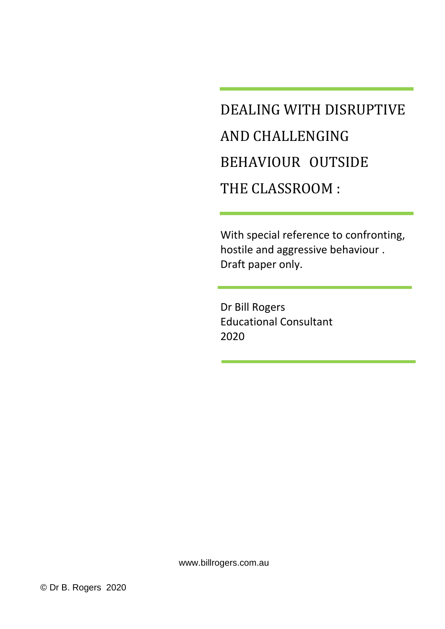# DEALING WITH DISRUPTIVE AND CHALLENGING BEHAVIOUR OUTSIDE THE CLASSROOM :

With special reference to confronting, hostile and aggressive behaviour . Draft paper only.

Dr Bill Rogers Educational Consultant 2020

www.billrogers.com.au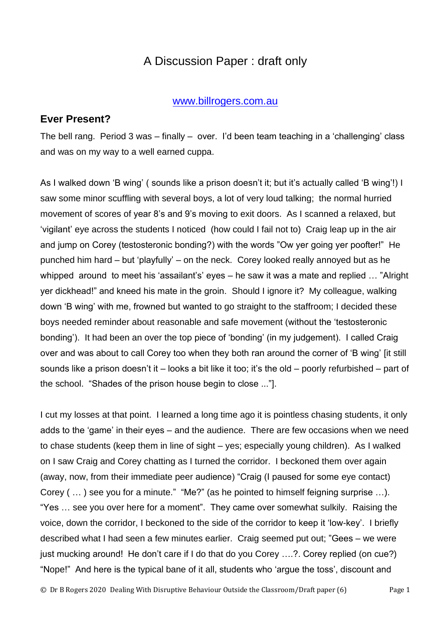## A Discussion Paper : draft only

#### [www.billrogers.com.au](http://www.billrogers.com.au/)

#### **Ever Present?**

The bell rang. Period 3 was – finally – over. I'd been team teaching in a 'challenging' class and was on my way to a well earned cuppa.

As I walked down 'B wing' ( sounds like a prison doesn't it; but it's actually called 'B wing'!) I saw some minor scuffling with several boys, a lot of very loud talking; the normal hurried movement of scores of year 8's and 9's moving to exit doors. As I scanned a relaxed, but 'vigilant' eye across the students I noticed (how could I fail not to) Craig leap up in the air and jump on Corey (testosteronic bonding?) with the words "Ow yer going yer poofter!" He punched him hard – but 'playfully' – on the neck. Corey looked really annoyed but as he whipped around to meet his 'assailant's' eyes – he saw it was a mate and replied … "Alright yer dickhead!" and kneed his mate in the groin. Should I ignore it? My colleague, walking down 'B wing' with me, frowned but wanted to go straight to the staffroom; I decided these boys needed reminder about reasonable and safe movement (without the 'testosteronic bonding'). It had been an over the top piece of 'bonding' (in my judgement). I called Craig over and was about to call Corey too when they both ran around the corner of 'B wing' [it still sounds like a prison doesn't it – looks a bit like it too; it's the old – poorly refurbished – part of the school. "Shades of the prison house begin to close ..."].

I cut my losses at that point. I learned a long time ago it is pointless chasing students, it only adds to the 'game' in their eyes – and the audience. There are few occasions when we need to chase students (keep them in line of sight – yes; especially young children). As I walked on I saw Craig and Corey chatting as I turned the corridor. I beckoned them over again (away, now, from their immediate peer audience) "Craig (I paused for some eye contact) Corey ( … ) see you for a minute." "Me?" (as he pointed to himself feigning surprise …). "Yes … see you over here for a moment". They came over somewhat sulkily. Raising the voice, down the corridor, I beckoned to the side of the corridor to keep it 'low-key'. I briefly described what I had seen a few minutes earlier. Craig seemed put out; "Gees – we were just mucking around! He don't care if I do that do you Corey ....?. Corey replied (on cue?) "Nope!" And here is the typical bane of it all, students who 'argue the toss', discount and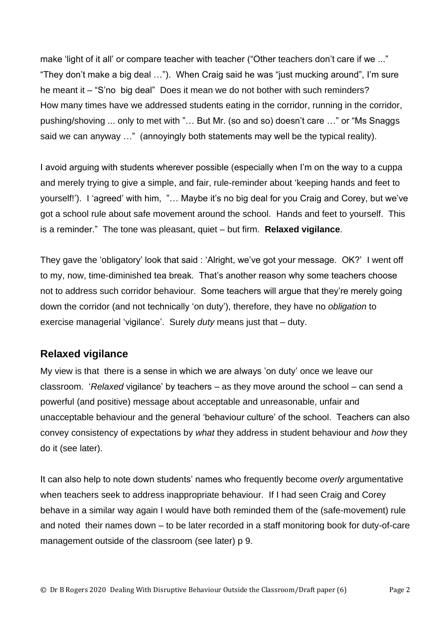make 'light of it all' or compare teacher with teacher ("Other teachers don't care if we ..." "They don't make a big deal …"). When Craig said he was "just mucking around", I'm sure he meant it – "S'no big deal" Does it mean we do not bother with such reminders? How many times have we addressed students eating in the corridor, running in the corridor, pushing/shoving ... only to met with "… But Mr. (so and so) doesn't care …" or "Ms Snaggs said we can anyway …" (annoyingly both statements may well be the typical reality).

I avoid arguing with students wherever possible (especially when I'm on the way to a cuppa and merely trying to give a simple, and fair, rule-reminder about 'keeping hands and feet to yourself!'). I 'agreed' with him, "… Maybe it's no big deal for you Craig and Corey, but we've got a school rule about safe movement around the school. Hands and feet to yourself. This is a reminder." The tone was pleasant, quiet – but firm. **Relaxed vigilance**.

They gave the 'obligatory' look that said : 'Alright, we've got your message. OK?' I went off to my, now, time-diminished tea break. That's another reason why some teachers choose not to address such corridor behaviour. Some teachers will argue that they're merely going down the corridor (and not technically 'on duty'), therefore, they have no *obligation* to exercise managerial 'vigilance'. Surely *duty* means just that – duty.

## **Relaxed vigilance**

My view is that there is a sense in which we are always 'on duty' once we leave our classroom. '*Relaxed* vigilance' by teachers – as they move around the school – can send a powerful (and positive) message about acceptable and unreasonable, unfair and unacceptable behaviour and the general 'behaviour culture' of the school. Teachers can also convey consistency of expectations by *what* they address in student behaviour and *how* they do it (see later).

It can also help to note down students' names who frequently become *overly* argumentative when teachers seek to address inappropriate behaviour. If I had seen Craig and Corey behave in a similar way again I would have both reminded them of the (safe-movement) rule and noted their names down – to be later recorded in a staff monitoring book for duty-of-care management outside of the classroom (see later) p 9.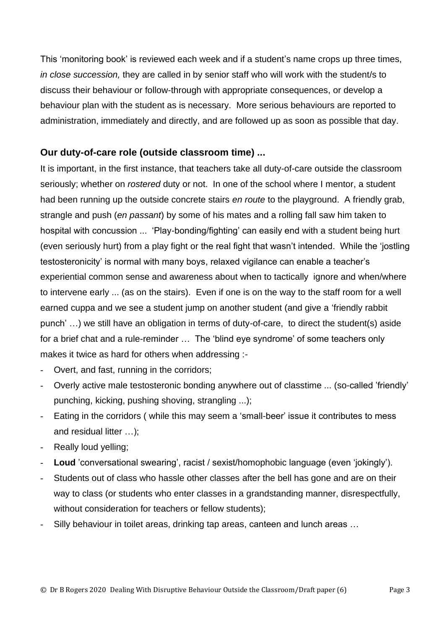This 'monitoring book' is reviewed each week and if a student's name crops up three times, *in close succession,* they are called in by senior staff who will work with the student/s to discuss their behaviour or follow-through with appropriate consequences, or develop a behaviour plan with the student as is necessary. More serious behaviours are reported to administration, immediately and directly, and are followed up as soon as possible that day.

#### **Our duty-of-care role (outside classroom time) ...**

It is important, in the first instance, that teachers take all duty-of-care outside the classroom seriously; whether on *rostered* duty or not. In one of the school where I mentor, a student had been running up the outside concrete stairs *en route* to the playground. A friendly grab, strangle and push (*en passant*) by some of his mates and a rolling fall saw him taken to hospital with concussion ... 'Play-bonding/fighting' can easily end with a student being hurt (even seriously hurt) from a play fight or the real fight that wasn't intended. While the 'jostling testosteronicity' is normal with many boys, relaxed vigilance can enable a teacher's experiential common sense and awareness about when to tactically ignore and when/where to intervene early ... (as on the stairs). Even if one is on the way to the staff room for a well earned cuppa and we see a student jump on another student (and give a 'friendly rabbit punch' …) we still have an obligation in terms of duty-of-care, to direct the student(s) aside for a brief chat and a rule-reminder … The 'blind eye syndrome' of some teachers only makes it twice as hard for others when addressing :-

- Overt, and fast, running in the corridors;
- Overly active male testosteronic bonding anywhere out of classtime ... (so-called 'friendly' punching, kicking, pushing shoving, strangling ...);
- Eating in the corridors (while this may seem a 'small-beer' issue it contributes to mess and residual litter …);
- Really loud yelling;
- Loud 'conversational swearing', racist / sexist/homophobic language (even 'jokingly').
- Students out of class who hassle other classes after the bell has gone and are on their way to class (or students who enter classes in a grandstanding manner, disrespectfully, without consideration for teachers or fellow students);
- Silly behaviour in toilet areas, drinking tap areas, canteen and lunch areas ...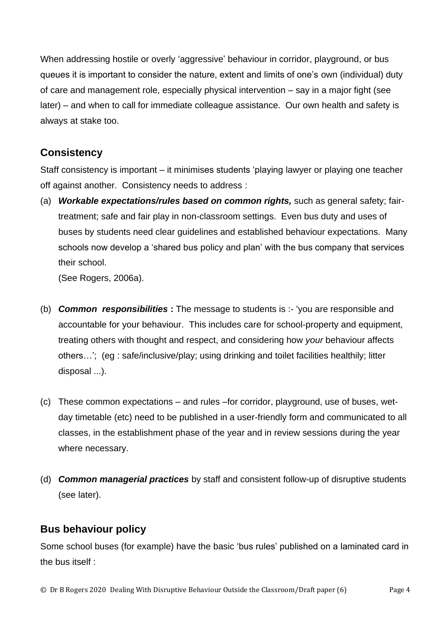When addressing hostile or overly 'aggressive' behaviour in corridor, playground, or bus queues it is important to consider the nature, extent and limits of one's own (individual) duty of care and management role, especially physical intervention – say in a major fight (see later) – and when to call for immediate colleague assistance. Our own health and safety is always at stake too.

#### **Consistency**

Staff consistency is important – it minimises students 'playing lawyer or playing one teacher off against another. Consistency needs to address :

(a) *Workable expectations/rules based on common rights,* such as general safety; fairtreatment; safe and fair play in non-classroom settings. Even bus duty and uses of buses by students need clear guidelines and established behaviour expectations. Many schools now develop a 'shared bus policy and plan' with the bus company that services their school.

(See Rogers, 2006a).

- (b) *Common responsibilities* **:** The message to students is :- 'you are responsible and accountable for your behaviour. This includes care for school-property and equipment, treating others with thought and respect, and considering how *your* behaviour affects others…'; (eg : safe/inclusive/play; using drinking and toilet facilities healthily; litter disposal ...).
- (c) These common expectations and rules –for corridor, playground, use of buses, wetday timetable (etc) need to be published in a user-friendly form and communicated to all classes, in the establishment phase of the year and in review sessions during the year where necessary.
- (d) *Common managerial practices* by staff and consistent follow-up of disruptive students (see later).

## **Bus behaviour policy**

Some school buses (for example) have the basic 'bus rules' published on a laminated card in the bus itself :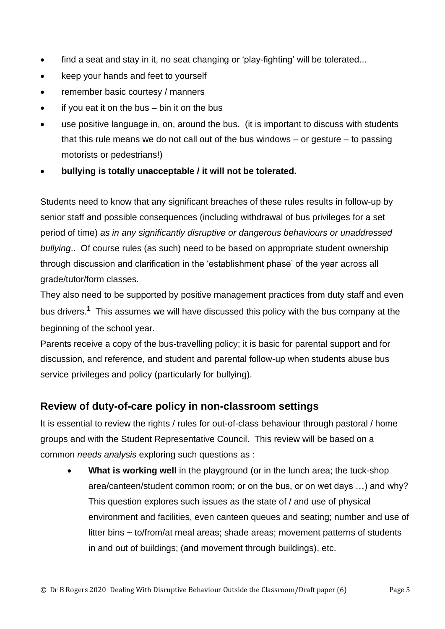- find a seat and stay in it, no seat changing or 'play-fighting' will be tolerated...
- keep your hands and feet to yourself
- remember basic courtesy / manners
- if you eat it on the bus  $-$  bin it on the bus
- use positive language in, on, around the bus. (it is important to discuss with students that this rule means we do not call out of the bus windows – or gesture – to passing motorists or pedestrians!)
- **bullying is totally unacceptable / it will not be tolerated.**

Students need to know that any significant breaches of these rules results in follow-up by senior staff and possible consequences (including withdrawal of bus privileges for a set period of time) *as in any significantly disruptive or dangerous behaviours or unaddressed bullying*.. Of course rules (as such) need to be based on appropriate student ownership through discussion and clarification in the 'establishment phase' of the year across all grade/tutor/form classes.

They also need to be supported by positive management practices from duty staff and even bus drivers.**<sup>1</sup>** This assumes we will have discussed this policy with the bus company at the beginning of the school year.

Parents receive a copy of the bus-travelling policy; it is basic for parental support and for discussion, and reference, and student and parental follow-up when students abuse bus service privileges and policy (particularly for bullying).

## **Review of duty-of-care policy in non-classroom settings**

It is essential to review the rights / rules for out-of-class behaviour through pastoral / home groups and with the Student Representative Council. This review will be based on a common *needs analysis* exploring such questions as :

• **What is working well** in the playground (or in the lunch area; the tuck-shop area/canteen/student common room; or on the bus, or on wet days …) and why? This question explores such issues as the state of / and use of physical environment and facilities, even canteen queues and seating; number and use of litter bins ~ to/from/at meal areas; shade areas; movement patterns of students in and out of buildings; (and movement through buildings), etc.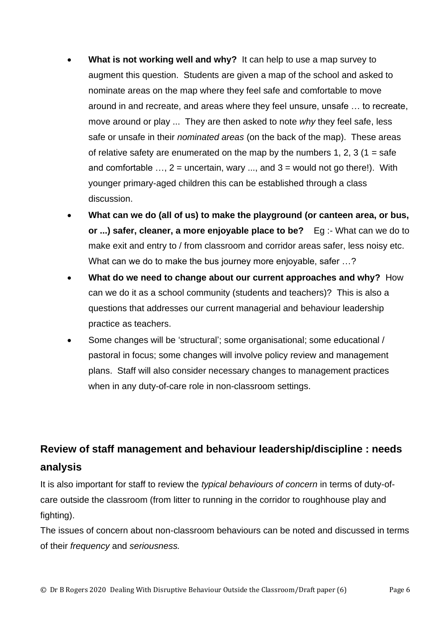- **What is not working well and why?** It can help to use a map survey to augment this question. Students are given a map of the school and asked to nominate areas on the map where they feel safe and comfortable to move around in and recreate, and areas where they feel unsure, unsafe … to recreate, move around or play ... They are then asked to note *why* they feel safe, less safe or unsafe in their *nominated areas* (on the back of the map). These areas of relative safety are enumerated on the map by the numbers 1, 2, 3 (1 = safe and comfortable  $\dots$ ,  $2$  = uncertain, wary  $\dots$ , and  $3$  = would not go there!). With younger primary-aged children this can be established through a class discussion.
- **What can we do (all of us) to make the playground (or canteen area, or bus, or ...) safer, cleaner, a more enjoyable place to be?** Eg :- What can we do to make exit and entry to / from classroom and corridor areas safer, less noisy etc. What can we do to make the bus journey more enjoyable, safer …?
- **What do we need to change about our current approaches and why?** How can we do it as a school community (students and teachers)? This is also a questions that addresses our current managerial and behaviour leadership practice as teachers.
- Some changes will be 'structural'; some organisational; some educational / pastoral in focus; some changes will involve policy review and management plans. Staff will also consider necessary changes to management practices when in any duty-of-care role in non-classroom settings.

# **Review of staff management and behaviour leadership/discipline : needs analysis**

It is also important for staff to review the *typical behaviours of concern* in terms of duty-ofcare outside the classroom (from litter to running in the corridor to roughhouse play and fighting).

The issues of concern about non-classroom behaviours can be noted and discussed in terms of their *frequency* and *seriousness.*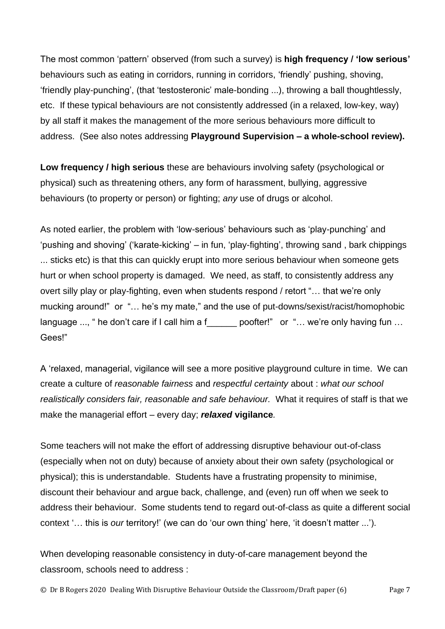The most common 'pattern' observed (from such a survey) is **high frequency / 'low serious'** behaviours such as eating in corridors, running in corridors, 'friendly' pushing, shoving, 'friendly play-punching', (that 'testosteronic' male-bonding ...), throwing a ball thoughtlessly, etc. If these typical behaviours are not consistently addressed (in a relaxed, low-key, way) by all staff it makes the management of the more serious behaviours more difficult to address. (See also notes addressing **Playground Supervision – a whole-school review).**

**Low frequency / high serious** these are behaviours involving safety (psychological or physical) such as threatening others, any form of harassment, bullying, aggressive behaviours (to property or person) or fighting; *any* use of drugs or alcohol.

As noted earlier, the problem with 'low-serious' behaviours such as 'play-punching' and 'pushing and shoving' ('karate-kicking' – in fun, 'play-fighting', throwing sand , bark chippings ... sticks etc) is that this can quickly erupt into more serious behaviour when someone gets hurt or when school property is damaged. We need, as staff, to consistently address any overt silly play or play-fighting, even when students respond / retort "… that we're only mucking around!" or "… he's my mate," and the use of put-downs/sexist/racist/homophobic language ..., " he don't care if I call him a f [10] poofter!" or "... we're only having fun ... Gees!"

A 'relaxed, managerial, vigilance will see a more positive playground culture in time. We can create a culture of *reasonable fairness* and *respectful certainty* about : *what our school realistically considers fair, reasonable and safe behaviour.* What it requires of staff is that we make the managerial effort – every day; *relaxed* **vigilance***.*

Some teachers will not make the effort of addressing disruptive behaviour out-of-class (especially when not on duty) because of anxiety about their own safety (psychological or physical); this is understandable. Students have a frustrating propensity to minimise, discount their behaviour and argue back, challenge, and (even) run off when we seek to address their behaviour. Some students tend to regard out-of-class as quite a different social context '… this is *our* territory!' (we can do 'our own thing' here, 'it doesn't matter ...').

When developing reasonable consistency in duty-of-care management beyond the classroom, schools need to address :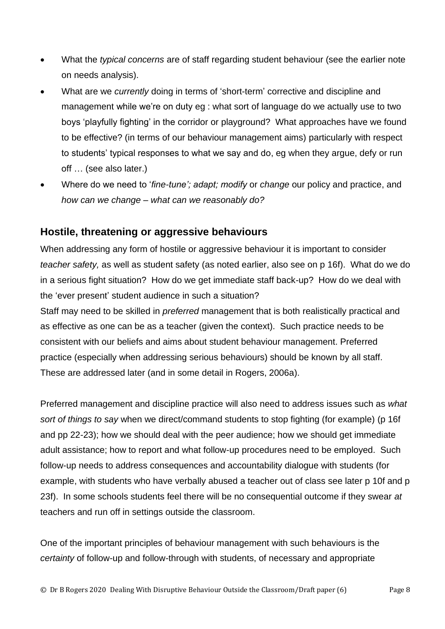- What the *typical concerns* are of staff regarding student behaviour (see the earlier note on needs analysis).
- What are we *currently* doing in terms of 'short-term' corrective and discipline and management while we're on duty eg : what sort of language do we actually use to two boys 'playfully fighting' in the corridor or playground? What approaches have we found to be effective? (in terms of our behaviour management aims) particularly with respect to students' typical responses to what we say and do, eg when they argue, defy or run off … (see also later.)
- Where do we need to '*fine-tune'; adapt; modify* or *change* our policy and practice, and *how can we change – what can we reasonably do?*

#### **Hostile, threatening or aggressive behaviours**

When addressing any form of hostile or aggressive behaviour it is important to consider *teacher safety,* as well as student safety (as noted earlier, also see on p 16f). What do we do in a serious fight situation? How do we get immediate staff back-up? How do we deal with the 'ever present' student audience in such a situation?

Staff may need to be skilled in *preferred* management that is both realistically practical and as effective as one can be as a teacher (given the context). Such practice needs to be consistent with our beliefs and aims about student behaviour management. Preferred practice (especially when addressing serious behaviours) should be known by all staff. These are addressed later (and in some detail in Rogers, 2006a).

Preferred management and discipline practice will also need to address issues such as *what sort of things to say* when we direct/command students to stop fighting (for example) (p 16f and pp 22-23); how we should deal with the peer audience; how we should get immediate adult assistance; how to report and what follow-up procedures need to be employed. Such follow-up needs to address consequences and accountability dialogue with students (for example, with students who have verbally abused a teacher out of class see later p 10f and p 23f). In some schools students feel there will be no consequential outcome if they swear *at* teachers and run off in settings outside the classroom.

One of the important principles of behaviour management with such behaviours is the *certainty* of follow-up and follow-through with students, of necessary and appropriate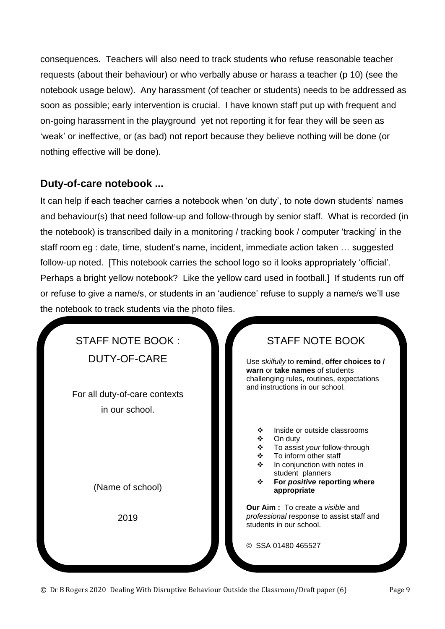consequences. Teachers will also need to track students who refuse reasonable teacher requests (about their behaviour) or who verbally abuse or harass a teacher (p 10) (see the notebook usage below). Any harassment (of teacher or students) needs to be addressed as soon as possible; early intervention is crucial. I have known staff put up with frequent and on-going harassment in the playground yet not reporting it for fear they will be seen as 'weak' or ineffective, or (as bad) not report because they believe nothing will be done (or nothing effective will be done).

## **Duty-of-care notebook ...**

It can help if each teacher carries a notebook when 'on duty', to note down students' names and behaviour(s) that need follow-up and follow-through by senior staff. What is recorded (in the notebook) is transcribed daily in a monitoring / tracking book / computer 'tracking' in the staff room eg : date, time, student's name, incident, immediate action taken … suggested follow-up noted. [This notebook carries the school logo so it looks appropriately 'official'. Perhaps a bright yellow notebook? Like the yellow card used in football.] If students run off or refuse to give a name/s, or students in an 'audience' refuse to supply a name/s we'll use the notebook to track students via the photo files.

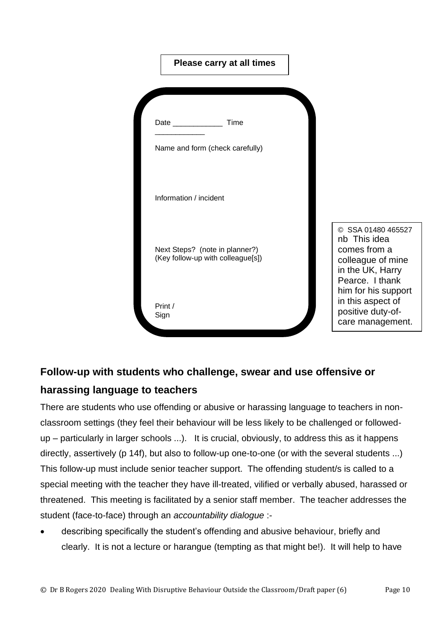| Please carry at all times                                                                                               |                                                                                                                |
|-------------------------------------------------------------------------------------------------------------------------|----------------------------------------------------------------------------------------------------------------|
| Time<br>Date and the state of the state of the state of the state of the state of the state of the state of the state o |                                                                                                                |
| Name and form (check carefully)                                                                                         |                                                                                                                |
| Information / incident                                                                                                  |                                                                                                                |
| Next Steps? (note in planner?)<br>(Key follow-up with colleague[s])                                                     | © SSA 01480 465527<br>nb This idea<br>comes from a<br>colleague of mine<br>in the UK, Harry<br>Pearce. I thank |
| Print /<br>Sign                                                                                                         | him for his support<br>in this aspect of<br>positive duty-of-<br>care management.                              |

## **Follow-up with students who challenge, swear and use offensive or**

## **harassing language to teachers**

There are students who use offending or abusive or harassing language to teachers in nonclassroom settings (they feel their behaviour will be less likely to be challenged or followedup – particularly in larger schools ...). It is crucial, obviously, to address this as it happens directly, assertively (p 14f), but also to follow-up one-to-one (or with the several students ...) This follow-up must include senior teacher support. The offending student/s is called to a special meeting with the teacher they have ill-treated, vilified or verbally abused, harassed or threatened. This meeting is facilitated by a senior staff member. The teacher addresses the student (face-to-face) through an *accountability dialogue* :-

• describing specifically the student's offending and abusive behaviour, briefly and clearly. It is not a lecture or harangue (tempting as that might be!). It will help to have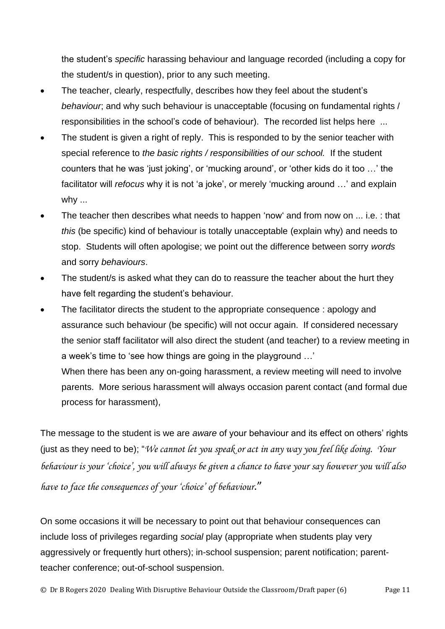the student's *specific* harassing behaviour and language recorded (including a copy for the student/s in question), prior to any such meeting.

- The teacher, clearly, respectfully, describes how they feel about the student's *behaviour*; and why such behaviour is unacceptable (focusing on fundamental rights / responsibilities in the school's code of behaviour). The recorded list helps here ...
- The student is given a right of reply. This is responded to by the senior teacher with special reference to *the basic rights / responsibilities of our school.* If the student counters that he was 'just joking', or 'mucking around', or 'other kids do it too …' the facilitator will *refocus* why it is not 'a joke', or merely 'mucking around …' and explain why ...
- The teacher then describes what needs to happen 'now' and from now on ... i.e. : that *this* (be specific) kind of behaviour is totally unacceptable (explain why) and needs to stop. Students will often apologise; we point out the difference between sorry *words* and sorry *behaviours*.
- The student/s is asked what they can do to reassure the teacher about the hurt they have felt regarding the student's behaviour.
- The facilitator directs the student to the appropriate consequence : apology and assurance such behaviour (be specific) will not occur again. If considered necessary the senior staff facilitator will also direct the student (and teacher) to a review meeting in a week's time to 'see how things are going in the playground …' When there has been any on-going harassment, a review meeting will need to involve parents. More serious harassment will always occasion parent contact (and formal due

process for harassment),

The message to the student is we are *aware* of your behaviour and its effect on others' rights (just as they need to be); "*We cannot let you speak or act in any way you feel like doing. Your behaviour is your 'choice', you will always be given a chance to have your say however you will also have to face the consequences of your 'choice' of behaviour*."

On some occasions it will be necessary to point out that behaviour consequences can include loss of privileges regarding *social* play (appropriate when students play very aggressively or frequently hurt others); in-school suspension; parent notification; parentteacher conference; out-of-school suspension.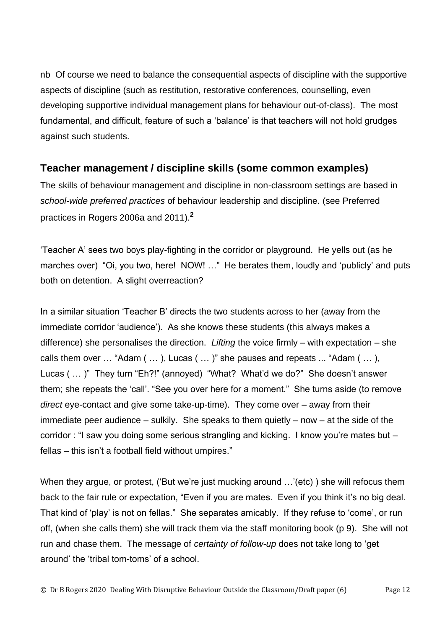nb Of course we need to balance the consequential aspects of discipline with the supportive aspects of discipline (such as restitution, restorative conferences, counselling, even developing supportive individual management plans for behaviour out-of-class). The most fundamental, and difficult, feature of such a 'balance' is that teachers will not hold grudges against such students.

## **Teacher management / discipline skills (some common examples)**

The skills of behaviour management and discipline in non-classroom settings are based in *school-wide preferred practices* of behaviour leadership and discipline. (see Preferred practices in Rogers 2006a and 2011).**<sup>2</sup>**

'Teacher A' sees two boys play-fighting in the corridor or playground. He yells out (as he marches over) "Oi, you two, here! NOW! …" He berates them, loudly and 'publicly' and puts both on detention. A slight overreaction?

In a similar situation 'Teacher B' directs the two students across to her (away from the immediate corridor 'audience'). As she knows these students (this always makes a difference) she personalises the direction. *Lifting* the voice firmly – with expectation – she calls them over … "Adam ( … ), Lucas ( … )" she pauses and repeats ... "Adam ( … ), Lucas ( … )" They turn "Eh?!" (annoyed) "What? What'd we do?" She doesn't answer them; she repeats the 'call'. "See you over here for a moment." She turns aside (to remove *direct* eye-contact and give some take-up-time). They come over – away from their immediate peer audience – sulkily. She speaks to them quietly – now – at the side of the corridor : "I saw you doing some serious strangling and kicking. I know you're mates but – fellas – this isn't a football field without umpires."

When they argue, or protest, ('But we're just mucking around ...'(etc)) she will refocus them back to the fair rule or expectation, "Even if you are mates. Even if you think it's no big deal. That kind of 'play' is not on fellas." She separates amicably. If they refuse to 'come', or run off, (when she calls them) she will track them via the staff monitoring book (p 9). She will not run and chase them. The message of *certainty of follow-up* does not take long to 'get around' the 'tribal tom-toms' of a school.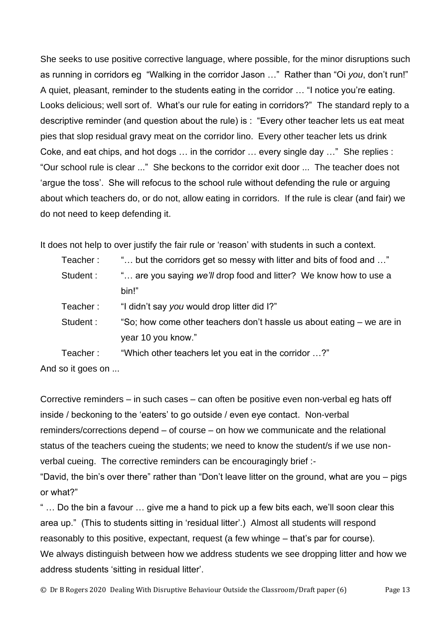She seeks to use positive corrective language, where possible, for the minor disruptions such as running in corridors eg "Walking in the corridor Jason …" Rather than "Oi *you*, don't run!" A quiet, pleasant, reminder to the students eating in the corridor … "I notice you're eating. Looks delicious; well sort of. What's our rule for eating in corridors?" The standard reply to a descriptive reminder (and question about the rule) is : "Every other teacher lets us eat meat pies that slop residual gravy meat on the corridor lino. Every other teacher lets us drink Coke, and eat chips, and hot dogs … in the corridor … every single day …" She replies : "Our school rule is clear ..." She beckons to the corridor exit door ... The teacher does not 'argue the toss'. She will refocus to the school rule without defending the rule or arguing about which teachers do, or do not, allow eating in corridors. If the rule is clear (and fair) we do not need to keep defending it.

It does not help to over justify the fair rule or 'reason' with students in such a context.

| Teacher: | " but the corridors get so messy with litter and bits of food and "   |
|----------|-----------------------------------------------------------------------|
| Student: | " are you saying we'll drop food and litter? We know how to use a     |
|          | bin!"                                                                 |
| Teacher: | "I didn't say you would drop litter did I?"                           |
| Student: | "So; how come other teachers don't hassle us about eating – we are in |
|          | year 10 you know."                                                    |
| Teacher: | "Which other teachers let you eat in the corridor ?"                  |

And so it goes on ...

Corrective reminders – in such cases – can often be positive even non-verbal eg hats off inside / beckoning to the 'eaters' to go outside / even eye contact. Non-verbal reminders/corrections depend – of course – on how we communicate and the relational status of the teachers cueing the students; we need to know the student/s if we use nonverbal cueing. The corrective reminders can be encouragingly brief :-

"David, the bin's over there" rather than "Don't leave litter on the ground, what are you – pigs or what?"

" … Do the bin a favour … give me a hand to pick up a few bits each, we'll soon clear this area up." (This to students sitting in 'residual litter'.) Almost all students will respond reasonably to this positive, expectant, request (a few whinge – that's par for course). We always distinguish between how we address students we see dropping litter and how we address students 'sitting in residual litter'.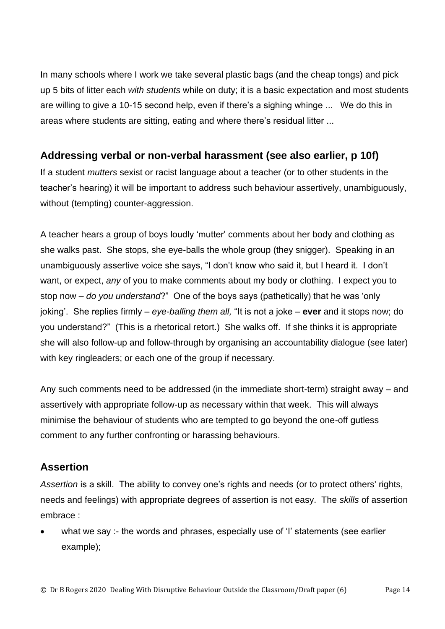In many schools where I work we take several plastic bags (and the cheap tongs) and pick up 5 bits of litter each *with students* while on duty; it is a basic expectation and most students are willing to give a 10-15 second help, even if there's a sighing whinge ... We do this in areas where students are sitting, eating and where there's residual litter ...

#### **Addressing verbal or non-verbal harassment (see also earlier, p 10f)**

If a student *mutters* sexist or racist language about a teacher (or to other students in the teacher's hearing) it will be important to address such behaviour assertively, unambiguously, without (tempting) counter-aggression.

A teacher hears a group of boys loudly 'mutter' comments about her body and clothing as she walks past. She stops, she eye-balls the whole group (they snigger). Speaking in an unambiguously assertive voice she says, "I don't know who said it, but I heard it. I don't want, or expect, *any* of you to make comments about my body or clothing. I expect you to stop now – *do you understand*?" One of the boys says (pathetically) that he was 'only joking'. She replies firmly – *eye-balling them all,* "It is not a joke – **ever** and it stops now; do you understand?" (This is a rhetorical retort.) She walks off. If she thinks it is appropriate she will also follow-up and follow-through by organising an accountability dialogue (see later) with key ringleaders; or each one of the group if necessary.

Any such comments need to be addressed (in the immediate short-term) straight away – and assertively with appropriate follow-up as necessary within that week. This will always minimise the behaviour of students who are tempted to go beyond the one-off gutless comment to any further confronting or harassing behaviours.

## **Assertion**

*Assertion* is a skill. The ability to convey one's rights and needs (or to protect others' rights, needs and feelings) with appropriate degrees of assertion is not easy. The *skills* of assertion embrace :

what we say :- the words and phrases, especially use of 'I' statements (see earlier example);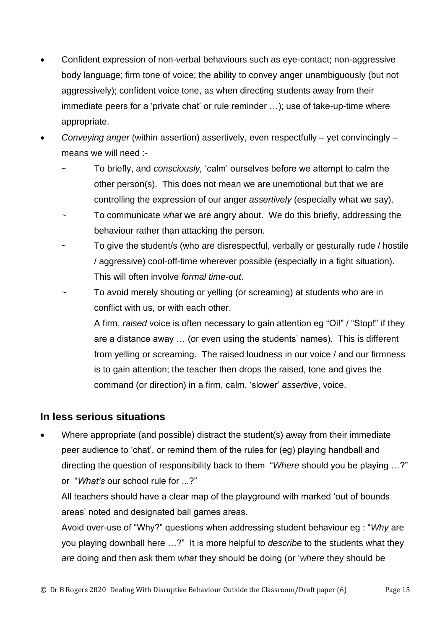- Confident expression of non-verbal behaviours such as eye-contact; non-aggressive body language; firm tone of voice; the ability to convey anger unambiguously (but not aggressively); confident voice tone, as when directing students away from their immediate peers for a 'private chat' or rule reminder …); use of take-up-time where appropriate.
- *Conveying anger* (within assertion) assertively, even respectfully yet convincingly means we will need :-
	- ~ To briefly, and *consciously,* 'calm' ourselves before we attempt to calm the other person(s). This does not mean we are unemotional but that we are controlling the expression of our anger *assertively* (especially what we say).
	- ~ To communicate *what* we are angry about. We do this briefly, addressing the behaviour rather than attacking the person.
	- To give the student/s (who are disrespectful, verbally or gesturally rude / hostile / aggressive) cool-off-time wherever possible (especially in a fight situation). This will often involve *formal time-out*.
	- To avoid merely shouting or yelling (or screaming) at students who are in conflict with us, or with each other.

A firm, *raised* voice is often necessary to gain attention eg "Oi!" / "Stop!" if they are a distance away … (or even using the students' names). This is different from yelling or screaming. The raised loudness in our voice / and our firmness is to gain attention; the teacher then drops the raised, tone and gives the command (or direction) in a firm, calm, 'slower' *assertive*, voice.

#### **In less serious situations**

• Where appropriate (and possible) distract the student(s) away from their immediate peer audience to 'chat', or remind them of the rules for (eg) playing handball and directing the question of responsibility back to them "*Where* should you be playing …?" or "*What's* our school rule for ...?"

All teachers should have a clear map of the playground with marked 'out of bounds areas' noted and designated ball games areas.

Avoid over-use of "Why?" questions when addressing student behaviour eg : "*Why* are you playing downball here …?" It is more helpful to *describe* to the students what they *are* doing and then ask them *what* they should be doing (or '*where* they should be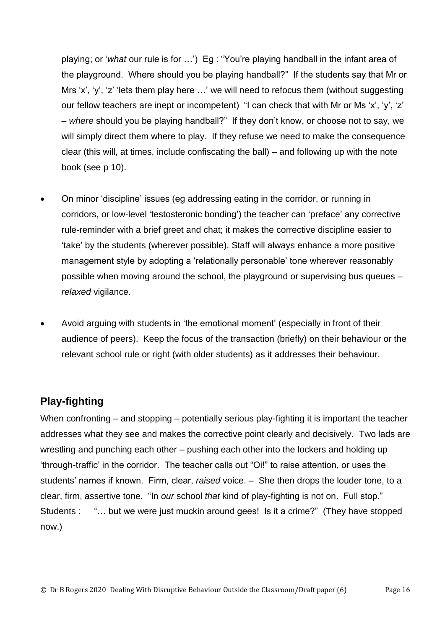playing; or '*what* our rule is for …') Eg : "You're playing handball in the infant area of the playground. Where should you be playing handball?" If the students say that Mr or Mrs 'x', 'y', 'z' 'lets them play here ...' we will need to refocus them (without suggesting our fellow teachers are inept or incompetent) "I can check that with Mr or Ms 'x', 'y', 'z' – *where* should you be playing handball?" If they don't know, or choose not to say, we will simply direct them where to play. If they refuse we need to make the consequence clear (this will, at times, include confiscating the ball) – and following up with the note book (see p 10).

- On minor 'discipline' issues (eg addressing eating in the corridor, or running in corridors, or low-level 'testosteronic bonding') the teacher can 'preface' any corrective rule-reminder with a brief greet and chat; it makes the corrective discipline easier to 'take' by the students (wherever possible). Staff will always enhance a more positive management style by adopting a 'relationally personable' tone wherever reasonably possible when moving around the school, the playground or supervising bus queues – *relaxed* vigilance.
- Avoid arguing with students in 'the emotional moment' (especially in front of their audience of peers). Keep the focus of the transaction (briefly) on their behaviour or the relevant school rule or right (with older students) as it addresses their behaviour.

## **Play-fighting**

When confronting – and stopping – potentially serious play-fighting it is important the teacher addresses what they see and makes the corrective point clearly and decisively. Two lads are wrestling and punching each other – pushing each other into the lockers and holding up 'through-traffic' in the corridor. The teacher calls out "Oi!" to raise attention, or uses the students' names if known. Firm, clear, *raised* voice. – She then drops the louder tone, to a clear, firm, assertive tone. "In *our* school *that* kind of play-fighting is not on. Full stop." Students : "… but we were just muckin around gees! Is it a crime?" (They have stopped now.)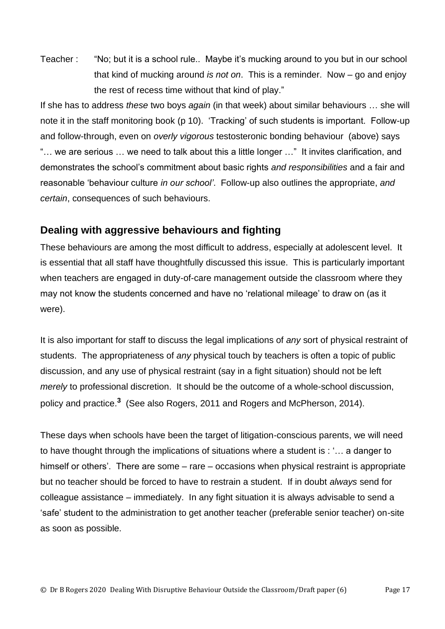Teacher : "No; but it is a school rule.. Maybe it's mucking around to you but in our school that kind of mucking around *is not on*. This is a reminder. Now – go and enjoy the rest of recess time without that kind of play."

If she has to address *these* two boys *again* (in that week) about similar behaviours … she will note it in the staff monitoring book (p 10). 'Tracking' of such students is important. Follow-up and follow-through, even on *overly vigorous* testosteronic bonding behaviour (above) says "… we are serious … we need to talk about this a little longer …" It invites clarification, and demonstrates the school's commitment about basic rights *and responsibilities* and a fair and reasonable 'behaviour culture *in our school'*. Follow-up also outlines the appropriate, *and certain*, consequences of such behaviours.

#### **Dealing with aggressive behaviours and fighting**

These behaviours are among the most difficult to address, especially at adolescent level. It is essential that all staff have thoughtfully discussed this issue. This is particularly important when teachers are engaged in duty-of-care management outside the classroom where they may not know the students concerned and have no 'relational mileage' to draw on (as it were).

It is also important for staff to discuss the legal implications of *any* sort of physical restraint of students. The appropriateness of *any* physical touch by teachers is often a topic of public discussion, and any use of physical restraint (say in a fight situation) should not be left *merely* to professional discretion. It should be the outcome of a whole-school discussion, policy and practice.**<sup>3</sup>** (See also Rogers, 2011 and Rogers and McPherson, 2014).

These days when schools have been the target of litigation-conscious parents, we will need to have thought through the implications of situations where a student is : '… a danger to himself or others'. There are some – rare – occasions when physical restraint is appropriate but no teacher should be forced to have to restrain a student. If in doubt *always* send for colleague assistance – immediately. In any fight situation it is always advisable to send a 'safe' student to the administration to get another teacher (preferable senior teacher) on-site as soon as possible.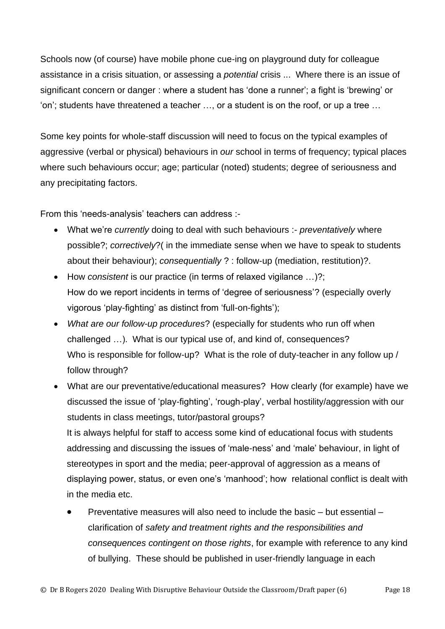Schools now (of course) have mobile phone cue-ing on playground duty for colleague assistance in a crisis situation, or assessing a *potential* crisis ... Where there is an issue of significant concern or danger : where a student has 'done a runner'; a fight is 'brewing' or 'on'; students have threatened a teacher …, or a student is on the roof, or up a tree …

Some key points for whole-staff discussion will need to focus on the typical examples of aggressive (verbal or physical) behaviours in *our* school in terms of frequency; typical places where such behaviours occur; age; particular (noted) students; degree of seriousness and any precipitating factors.

From this 'needs-analysis' teachers can address :-

- What we're *currently* doing to deal with such behaviours :- *preventatively* where possible?; *correctively*?( in the immediate sense when we have to speak to students about their behaviour); *consequentially* ? : follow-up (mediation, restitution)?.
- How *consistent* is our practice (in terms of relaxed vigilance …)?; How do we report incidents in terms of 'degree of seriousness'? (especially overly vigorous 'play-fighting' as distinct from 'full-on-fights');
- *What are our follow-up procedures*? (especially for students who run off when challenged …). What is our typical use of, and kind of, consequences? Who is responsible for follow-up? What is the role of duty-teacher in any follow up / follow through?
- What are our preventative/educational measures? How clearly (for example) have we discussed the issue of 'play-fighting', 'rough-play', verbal hostility/aggression with our students in class meetings, tutor/pastoral groups? It is always helpful for staff to access some kind of educational focus with students addressing and discussing the issues of 'male-ness' and 'male' behaviour, in light of stereotypes in sport and the media; peer-approval of aggression as a means of displaying power, status, or even one's 'manhood'; how relational conflict is dealt with
	- in the media etc.
	- Preventative measures will also need to include the basic but essential clarification of *safety and treatment rights and the responsibilities and consequences contingent on those rights*, for example with reference to any kind of bullying. These should be published in user-friendly language in each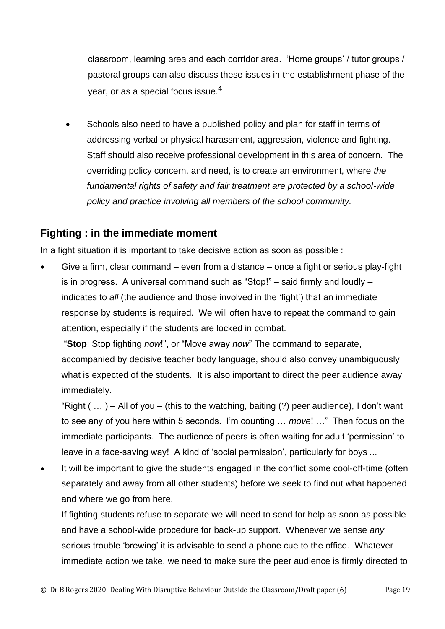classroom, learning area and each corridor area. 'Home groups' / tutor groups / pastoral groups can also discuss these issues in the establishment phase of the year, or as a special focus issue.**<sup>4</sup>**

Schools also need to have a published policy and plan for staff in terms of addressing verbal or physical harassment, aggression, violence and fighting. Staff should also receive professional development in this area of concern. The overriding policy concern, and need, is to create an environment, where *the fundamental rights of safety and fair treatment are protected by a school-wide policy and practice involving all members of the school community.*

#### **Fighting : in the immediate moment**

In a fight situation it is important to take decisive action as soon as possible :

• Give a firm, clear command – even from a distance – once a fight or serious play-fight is in progress. A universal command such as "Stop!" – said firmly and loudly – indicates to *all* (the audience and those involved in the 'fight') that an immediate response by students is required. We will often have to repeat the command to gain attention, especially if the students are locked in combat.

"**Stop**; Stop fighting *now*!", or "Move away *now*" The command to separate, accompanied by decisive teacher body language, should also convey unambiguously what is expected of the students. It is also important to direct the peer audience away immediately.

"Right  $($  ...  $)$  – All of you – (this to the watching, baiting  $(?)$  peer audience), I don't want to see any of you here within 5 seconds. I'm counting … *move*! …" Then focus on the immediate participants. The audience of peers is often waiting for adult 'permission' to leave in a face-saving way! A kind of 'social permission', particularly for boys ...

It will be important to give the students engaged in the conflict some cool-off-time (often separately and away from all other students) before we seek to find out what happened and where we go from here.

If fighting students refuse to separate we will need to send for help as soon as possible and have a school-wide procedure for back-up support. Whenever we sense *any* serious trouble 'brewing' it is advisable to send a phone cue to the office. Whatever immediate action we take, we need to make sure the peer audience is firmly directed to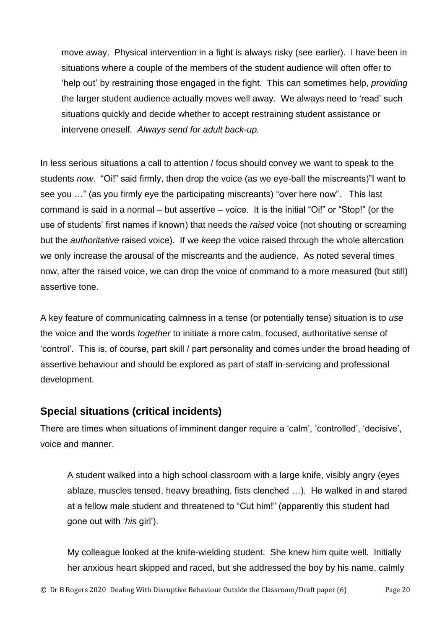move away. Physical intervention in a fight is always risky (see earlier). I have been in situations where a couple of the members of the student audience will often offer to 'help out' by restraining those engaged in the fight. This can sometimes help, *providing* the larger student audience actually moves well away. We always need to 'read' such situations quickly and decide whether to accept restraining student assistance or intervene oneself. *Always send for adult back-up.*

In less serious situations a call to attention / focus should convey we want to speak to the students *now*. "Oi!" said firmly, then drop the voice (as we eye-ball the miscreants)"I want to see you …" (as you firmly eye the participating miscreants) "over here now". This last command is said in a normal – but assertive – voice. It is the initial "Oi!" or "Stop!" (or the use of students' first names if known) that needs the *raised* voice (not shouting or screaming but the *authoritative* raised voice). If we *keep* the voice raised through the whole altercation we only increase the arousal of the miscreants and the audience. As noted several times now, after the raised voice, we can drop the voice of command to a more measured (but still) assertive tone.

A key feature of communicating calmness in a tense (or potentially tense) situation is to *use* the voice and the words *together* to initiate a more calm, focused, authoritative sense of 'control'. This is, of course, part skill / part personality and comes under the broad heading of assertive behaviour and should be explored as part of staff in-servicing and professional development.

## **Special situations (critical incidents)**

There are times when situations of imminent danger require a 'calm', 'controlled', 'decisive', voice and manner.

A student walked into a high school classroom with a large knife, visibly angry (eyes ablaze, muscles tensed, heavy breathing, fists clenched …). He walked in and stared at a fellow male student and threatened to "Cut him!" (apparently this student had gone out with '*his* girl').

My colleague looked at the knife-wielding student. She knew him quite well. Initially her anxious heart skipped and raced, but she addressed the boy by his name, calmly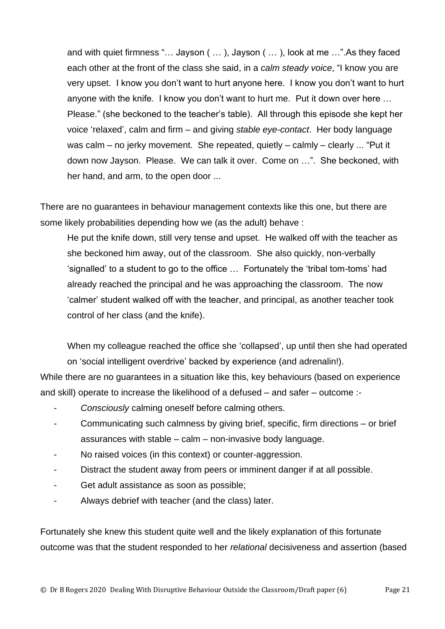and with quiet firmness "… Jayson ( … ), Jayson ( … ), look at me …".As they faced each other at the front of the class she said, in a *calm steady voice*, "I know you are very upset. I know you don't want to hurt anyone here. I know you don't want to hurt anyone with the knife. I know you don't want to hurt me. Put it down over here … Please." (she beckoned to the teacher's table). All through this episode she kept her voice 'relaxed', calm and firm – and giving *stable eye-contact*. Her body language was calm – no jerky movement. She repeated, quietly – calmly – clearly ... "Put it down now Jayson. Please. We can talk it over. Come on …". She beckoned, with her hand, and arm, to the open door ...

There are no guarantees in behaviour management contexts like this one, but there are some likely probabilities depending how we (as the adult) behave :

He put the knife down, still very tense and upset. He walked off with the teacher as she beckoned him away, out of the classroom. She also quickly, non-verbally 'signalled' to a student to go to the office … Fortunately the 'tribal tom-toms' had already reached the principal and he was approaching the classroom. The now 'calmer' student walked off with the teacher, and principal, as another teacher took control of her class (and the knife).

When my colleague reached the office she 'collapsed', up until then she had operated on 'social intelligent overdrive' backed by experience (and adrenalin!).

While there are no guarantees in a situation like this, key behaviours (based on experience and skill) operate to increase the likelihood of a defused – and safer – outcome :-

- *Consciously* calming oneself before calming others.
- Communicating such calmness by giving brief, specific, firm directions or brief assurances with stable – calm – non-invasive body language.
- No raised voices (in this context) or counter-aggression.
- Distract the student away from peers or imminent danger if at all possible.
- Get adult assistance as soon as possible;
- Always debrief with teacher (and the class) later.

Fortunately she knew this student quite well and the likely explanation of this fortunate outcome was that the student responded to her *relational* decisiveness and assertion (based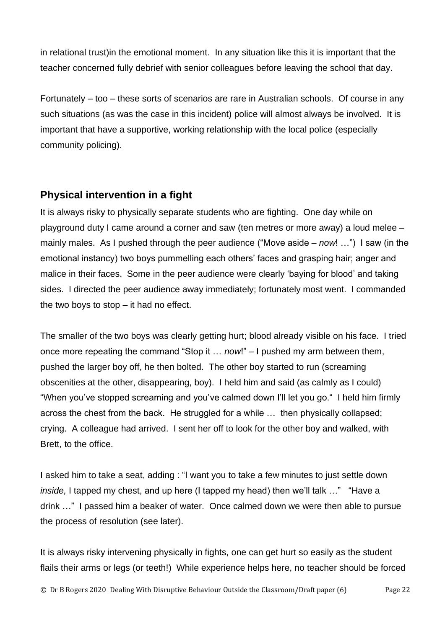in relational trust)in the emotional moment. In any situation like this it is important that the teacher concerned fully debrief with senior colleagues before leaving the school that day.

Fortunately – too – these sorts of scenarios are rare in Australian schools. Of course in any such situations (as was the case in this incident) police will almost always be involved. It is important that have a supportive, working relationship with the local police (especially community policing).

## **Physical intervention in a fight**

It is always risky to physically separate students who are fighting. One day while on playground duty I came around a corner and saw (ten metres or more away) a loud melee – mainly males. As I pushed through the peer audience ("Move aside – *now*! …") I saw (in the emotional instancy) two boys pummelling each others' faces and grasping hair; anger and malice in their faces. Some in the peer audience were clearly 'baying for blood' and taking sides. I directed the peer audience away immediately; fortunately most went. I commanded the two boys to stop – it had no effect.

The smaller of the two boys was clearly getting hurt; blood already visible on his face. I tried once more repeating the command "Stop it … *now*!" – I pushed my arm between them, pushed the larger boy off, he then bolted. The other boy started to run (screaming obscenities at the other, disappearing, boy). I held him and said (as calmly as I could) "When you've stopped screaming and you've calmed down I'll let you go." I held him firmly across the chest from the back. He struggled for a while … then physically collapsed; crying. A colleague had arrived. I sent her off to look for the other boy and walked, with Brett, to the office.

I asked him to take a seat, adding : "I want you to take a few minutes to just settle down *inside,* I tapped my chest, and up here (I tapped my head) then we'll talk …" "Have a drink …" I passed him a beaker of water. Once calmed down we were then able to pursue the process of resolution (see later).

It is always risky intervening physically in fights, one can get hurt so easily as the student flails their arms or legs (or teeth!) While experience helps here, no teacher should be forced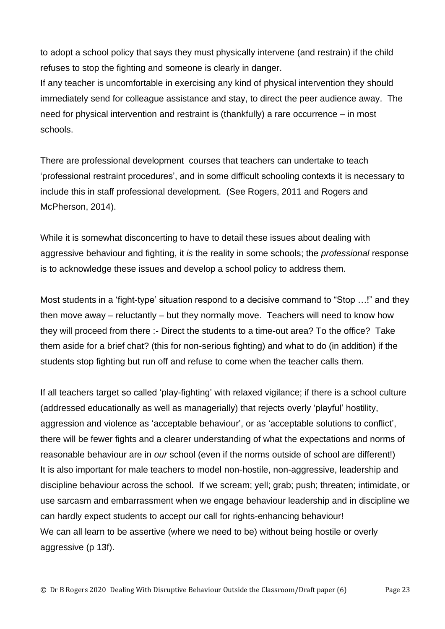to adopt a school policy that says they must physically intervene (and restrain) if the child refuses to stop the fighting and someone is clearly in danger.

If any teacher is uncomfortable in exercising any kind of physical intervention they should immediately send for colleague assistance and stay, to direct the peer audience away. The need for physical intervention and restraint is (thankfully) a rare occurrence – in most schools.

There are professional development courses that teachers can undertake to teach 'professional restraint procedures', and in some difficult schooling contexts it is necessary to include this in staff professional development. (See Rogers, 2011 and Rogers and McPherson, 2014).

While it is somewhat disconcerting to have to detail these issues about dealing with aggressive behaviour and fighting, it *is* the reality in some schools; the *professional* response is to acknowledge these issues and develop a school policy to address them.

Most students in a 'fight-type' situation respond to a decisive command to "Stop …!" and they then move away – reluctantly – but they normally move. Teachers will need to know how they will proceed from there :- Direct the students to a time-out area? To the office? Take them aside for a brief chat? (this for non-serious fighting) and what to do (in addition) if the students stop fighting but run off and refuse to come when the teacher calls them.

If all teachers target so called 'play-fighting' with relaxed vigilance; if there is a school culture (addressed educationally as well as managerially) that rejects overly 'playful' hostility, aggression and violence as 'acceptable behaviour', or as 'acceptable solutions to conflict', there will be fewer fights and a clearer understanding of what the expectations and norms of reasonable behaviour are in *our* school (even if the norms outside of school are different!) It is also important for male teachers to model non-hostile, non-aggressive, leadership and discipline behaviour across the school. If we scream; yell; grab; push; threaten; intimidate, or use sarcasm and embarrassment when we engage behaviour leadership and in discipline we can hardly expect students to accept our call for rights-enhancing behaviour! We can all learn to be assertive (where we need to be) without being hostile or overly aggressive (p 13f).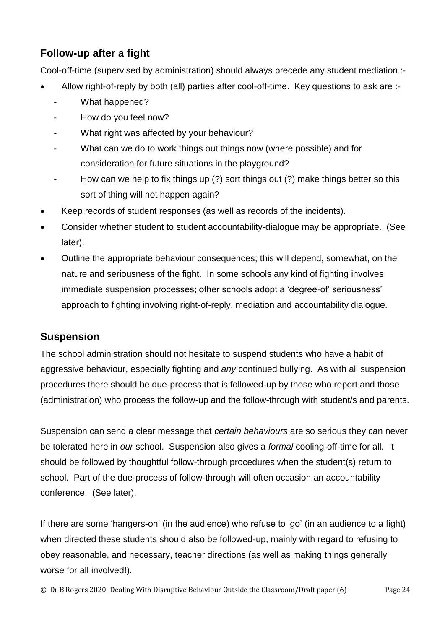## **Follow-up after a fight**

Cool-off-time (supervised by administration) should always precede any student mediation :-

- Allow right-of-reply by both (all) parties after cool-off-time. Key questions to ask are :-
	- What happened?
	- How do you feel now?
	- What right was affected by your behaviour?
	- What can we do to work things out things now (where possible) and for consideration for future situations in the playground?
	- How can we help to fix things up (?) sort things out (?) make things better so this sort of thing will not happen again?
- Keep records of student responses (as well as records of the incidents).
- Consider whether student to student accountability-dialogue may be appropriate. (See later).
- Outline the appropriate behaviour consequences; this will depend, somewhat, on the nature and seriousness of the fight. In some schools any kind of fighting involves immediate suspension processes; other schools adopt a 'degree-of' seriousness' approach to fighting involving right-of-reply, mediation and accountability dialogue.

## **Suspension**

The school administration should not hesitate to suspend students who have a habit of aggressive behaviour, especially fighting and *any* continued bullying. As with all suspension procedures there should be due-process that is followed-up by those who report and those (administration) who process the follow-up and the follow-through with student/s and parents.

Suspension can send a clear message that *certain behaviours* are so serious they can never be tolerated here in *our* school. Suspension also gives a *formal* cooling-off-time for all. It should be followed by thoughtful follow-through procedures when the student(s) return to school. Part of the due-process of follow-through will often occasion an accountability conference. (See later).

If there are some 'hangers-on' (in the audience) who refuse to 'go' (in an audience to a fight) when directed these students should also be followed-up, mainly with regard to refusing to obey reasonable, and necessary, teacher directions (as well as making things generally worse for all involved!).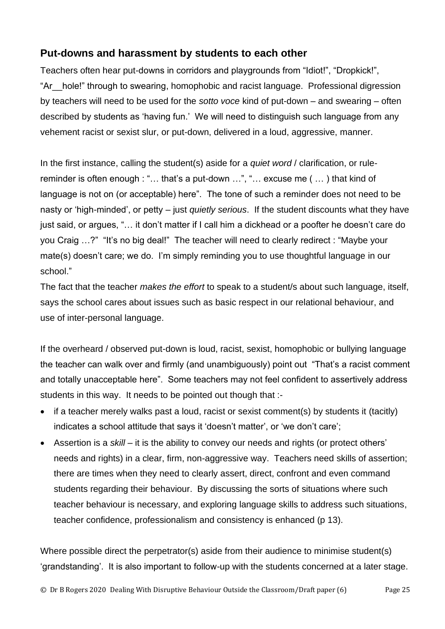## **Put-downs and harassment by students to each other**

Teachers often hear put-downs in corridors and playgrounds from "Idiot!", "Dropkick!", "Ar\_\_hole!" through to swearing, homophobic and racist language. Professional digression by teachers will need to be used for the *sotto voce* kind of put-down – and swearing – often described by students as 'having fun.' We will need to distinguish such language from any vehement racist or sexist slur, or put-down, delivered in a loud, aggressive, manner.

In the first instance, calling the student(s) aside for a *quiet word* / clarification, or rulereminder is often enough : "… that's a put-down …", "… excuse me ( … ) that kind of language is not on (or acceptable) here". The tone of such a reminder does not need to be nasty or 'high-minded', or petty – just *quietly serious*. If the student discounts what they have just said, or argues, "… it don't matter if I call him a dickhead or a poofter he doesn't care do you Craig …?" "It's no big deal!" The teacher will need to clearly redirect : "Maybe your mate(s) doesn't care; we do. I'm simply reminding you to use thoughtful language in our school."

The fact that the teacher *makes the effort* to speak to a student/s about such language, itself, says the school cares about issues such as basic respect in our relational behaviour, and use of inter-personal language.

If the overheard / observed put-down is loud, racist, sexist, homophobic or bullying language the teacher can walk over and firmly (and unambiguously) point out "That's a racist comment and totally unacceptable here". Some teachers may not feel confident to assertively address students in this way. It needs to be pointed out though that :-

- if a teacher merely walks past a loud, racist or sexist comment(s) by students it (tacitly) indicates a school attitude that says it 'doesn't matter', or 'we don't care';
- Assertion is a *skill* it is the ability to convey our needs and rights (or protect others' needs and rights) in a clear, firm, non-aggressive way. Teachers need skills of assertion; there are times when they need to clearly assert, direct, confront and even command students regarding their behaviour. By discussing the sorts of situations where such teacher behaviour is necessary, and exploring language skills to address such situations, teacher confidence, professionalism and consistency is enhanced (p 13).

Where possible direct the perpetrator(s) aside from their audience to minimise student(s) 'grandstanding'. It is also important to follow-up with the students concerned at a later stage.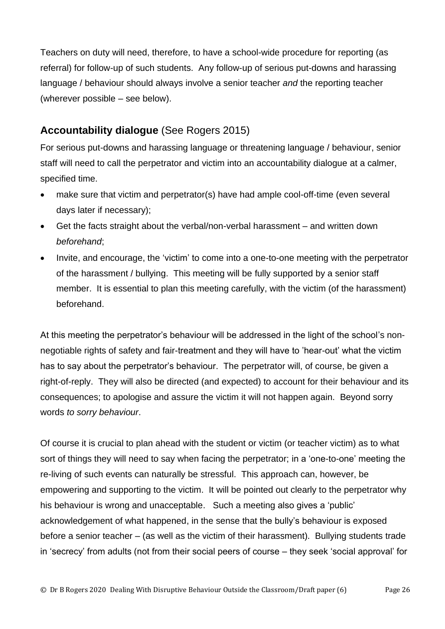Teachers on duty will need, therefore, to have a school-wide procedure for reporting (as referral) for follow-up of such students. Any follow-up of serious put-downs and harassing language / behaviour should always involve a senior teacher *and* the reporting teacher (wherever possible – see below).

## **Accountability dialogue** (See Rogers 2015)

For serious put-downs and harassing language or threatening language / behaviour, senior staff will need to call the perpetrator and victim into an accountability dialogue at a calmer, specified time.

- make sure that victim and perpetrator(s) have had ample cool-off-time (even several days later if necessary);
- Get the facts straight about the verbal/non-verbal harassment and written down *beforehand*;
- Invite, and encourage, the 'victim' to come into a one-to-one meeting with the perpetrator of the harassment / bullying. This meeting will be fully supported by a senior staff member. It is essential to plan this meeting carefully, with the victim (of the harassment) beforehand.

At this meeting the perpetrator's behaviour will be addressed in the light of the school's nonnegotiable rights of safety and fair-treatment and they will have to 'hear-out' what the victim has to say about the perpetrator's behaviour. The perpetrator will, of course, be given a right-of-reply. They will also be directed (and expected) to account for their behaviour and its consequences; to apologise and assure the victim it will not happen again. Beyond sorry words *to sorry behaviour*.

Of course it is crucial to plan ahead with the student or victim (or teacher victim) as to what sort of things they will need to say when facing the perpetrator; in a 'one-to-one' meeting the re-living of such events can naturally be stressful. This approach can, however, be empowering and supporting to the victim. It will be pointed out clearly to the perpetrator why his behaviour is wrong and unacceptable. Such a meeting also gives a 'public' acknowledgement of what happened, in the sense that the bully's behaviour is exposed before a senior teacher – (as well as the victim of their harassment). Bullying students trade in 'secrecy' from adults (not from their social peers of course – they seek 'social approval' for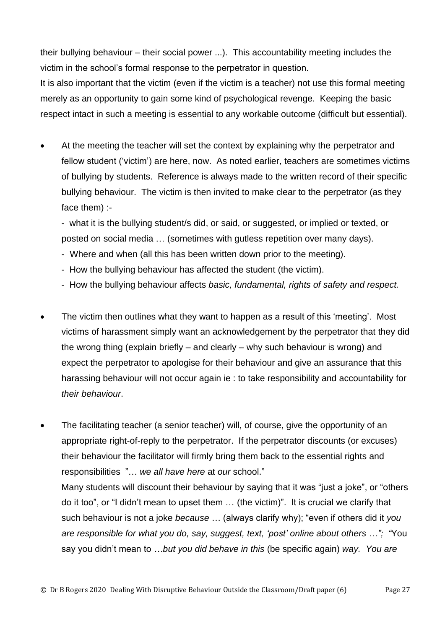their bullying behaviour – their social power ...). This accountability meeting includes the victim in the school's formal response to the perpetrator in question.

It is also important that the victim (even if the victim is a teacher) not use this formal meeting merely as an opportunity to gain some kind of psychological revenge. Keeping the basic respect intact in such a meeting is essential to any workable outcome (difficult but essential).

At the meeting the teacher will set the context by explaining why the perpetrator and fellow student ('victim') are here, now. As noted earlier, teachers are sometimes victims of bullying by students. Reference is always made to the written record of their specific bullying behaviour. The victim is then invited to make clear to the perpetrator (as they face them) :-

- what it is the bullying student/s did, or said, or suggested, or implied or texted, or posted on social media … (sometimes with gutless repetition over many days).

- Where and when (all this has been written down prior to the meeting).
- How the bullying behaviour has affected the student (the victim).
- How the bullying behaviour affects *basic, fundamental, rights of safety and respect.*
- The victim then outlines what they want to happen as a result of this 'meeting'. Most victims of harassment simply want an acknowledgement by the perpetrator that they did the wrong thing (explain briefly – and clearly – why such behaviour is wrong) and expect the perpetrator to apologise for their behaviour and give an assurance that this harassing behaviour will not occur again ie : to take responsibility and accountability for *their behaviour*.
- The facilitating teacher (a senior teacher) will, of course, give the opportunity of an appropriate right-of-reply to the perpetrator. If the perpetrator discounts (or excuses) their behaviour the facilitator will firmly bring them back to the essential rights and responsibilities "… *we all have here* at *our* school." Many students will discount their behaviour by saying that it was "just a joke", or "others do it too", or "I didn't mean to upset them … (the victim)". It is crucial we clarify that such behaviour is not a joke *because* … (always clarify why); "even if others did it *you are responsible for what you do, say, suggest, text, 'post' online about others …"; "*You say you didn't mean to *…but you did behave in this* (be specific again) *way. You are*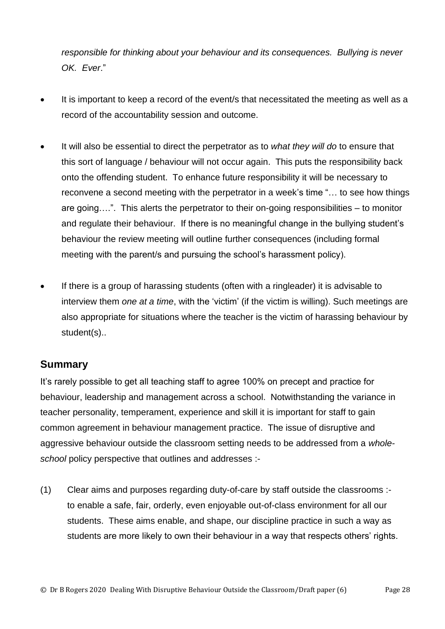*responsible for thinking about your behaviour and its consequences. Bullying is never OK. Ever*."

- It is important to keep a record of the event/s that necessitated the meeting as well as a record of the accountability session and outcome.
- It will also be essential to direct the perpetrator as to *what they will do* to ensure that this sort of language / behaviour will not occur again. This puts the responsibility back onto the offending student. To enhance future responsibility it will be necessary to reconvene a second meeting with the perpetrator in a week's time "… to see how things are going….". This alerts the perpetrator to their on-going responsibilities – to monitor and regulate their behaviour. If there is no meaningful change in the bullying student's behaviour the review meeting will outline further consequences (including formal meeting with the parent/s and pursuing the school's harassment policy).
- If there is a group of harassing students (often with a ringleader) it is advisable to interview them *one at a time*, with the 'victim' (if the victim is willing). Such meetings are also appropriate for situations where the teacher is the victim of harassing behaviour by student(s)..

#### **Summary**

It's rarely possible to get all teaching staff to agree 100% on precept and practice for behaviour, leadership and management across a school. Notwithstanding the variance in teacher personality, temperament, experience and skill it is important for staff to gain common agreement in behaviour management practice. The issue of disruptive and aggressive behaviour outside the classroom setting needs to be addressed from a *wholeschool* policy perspective that outlines and addresses :-

(1) Clear aims and purposes regarding duty-of-care by staff outside the classrooms : to enable a safe, fair, orderly, even enjoyable out-of-class environment for all our students. These aims enable, and shape, our discipline practice in such a way as students are more likely to own their behaviour in a way that respects others' rights.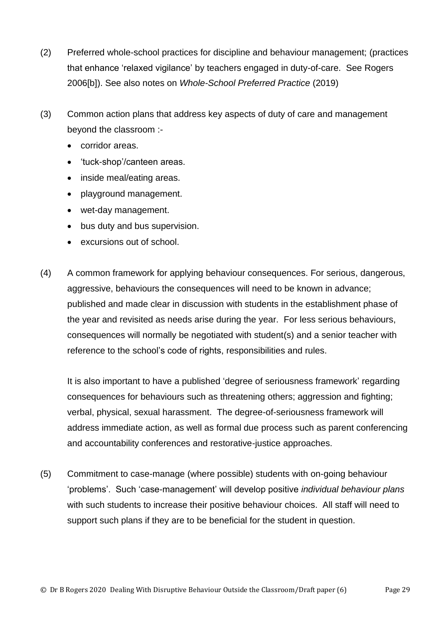- (2) Preferred whole-school practices for discipline and behaviour management; (practices that enhance 'relaxed vigilance' by teachers engaged in duty-of-care. See Rogers 2006[b]). See also notes on *Whole-School Preferred Practice* (2019)
- (3) Common action plans that address key aspects of duty of care and management beyond the classroom :-
	- corridor areas.
	- 'tuck-shop'/canteen areas.
	- inside meal/eating areas.
	- playground management.
	- wet-day management.
	- bus duty and bus supervision.
	- excursions out of school.
- (4) A common framework for applying behaviour consequences. For serious, dangerous, aggressive, behaviours the consequences will need to be known in advance; published and made clear in discussion with students in the establishment phase of the year and revisited as needs arise during the year. For less serious behaviours, consequences will normally be negotiated with student(s) and a senior teacher with reference to the school's code of rights, responsibilities and rules.

It is also important to have a published 'degree of seriousness framework' regarding consequences for behaviours such as threatening others; aggression and fighting; verbal, physical, sexual harassment. The degree-of-seriousness framework will address immediate action, as well as formal due process such as parent conferencing and accountability conferences and restorative-justice approaches.

(5) Commitment to case-manage (where possible) students with on-going behaviour 'problems'. Such 'case-management' will develop positive *individual behaviour plans* with such students to increase their positive behaviour choices. All staff will need to support such plans if they are to be beneficial for the student in question.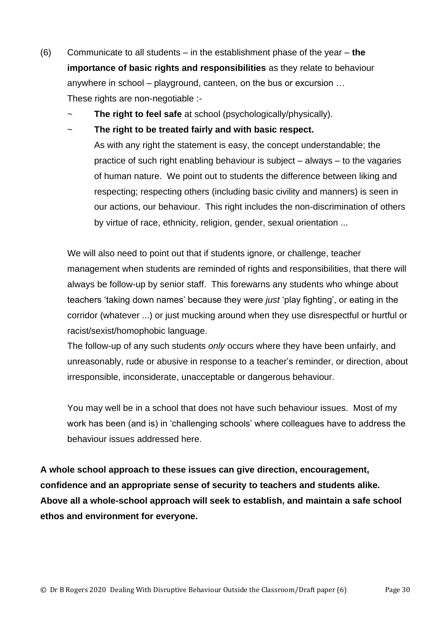- (6) Communicate to all students in the establishment phase of the year **the importance of basic rights and responsibilities** as they relate to behaviour anywhere in school – playground, canteen, on the bus or excursion … These rights are non-negotiable :-
	- The **right to feel safe** at school (psychologically/physically).
	- The right to be treated fairly and with basic respect. As with any right the statement is easy, the concept understandable; the practice of such right enabling behaviour is subject  $-$  always  $-$  to the vagaries of human nature. We point out to students the difference between liking and respecting; respecting others (including basic civility and manners) is seen in our actions, our behaviour. This right includes the non-discrimination of others by virtue of race, ethnicity, religion, gender, sexual orientation ...

We will also need to point out that if students ignore, or challenge, teacher management when students are reminded of rights and responsibilities, that there will always be follow-up by senior staff. This forewarns any students who whinge about teachers 'taking down names' because they were *just* 'play fighting', or eating in the corridor (whatever ...) or just mucking around when they use disrespectful or hurtful or racist/sexist/homophobic language.

The follow-up of any such students *only* occurs where they have been unfairly, and unreasonably, rude or abusive in response to a teacher's reminder, or direction, about irresponsible, inconsiderate, unacceptable or dangerous behaviour.

You may well be in a school that does not have such behaviour issues. Most of my work has been (and is) in 'challenging schools' where colleagues have to address the behaviour issues addressed here.

**A whole school approach to these issues can give direction, encouragement, confidence and an appropriate sense of security to teachers and students alike. Above all a whole-school approach will seek to establish, and maintain a safe school ethos and environment for everyone.**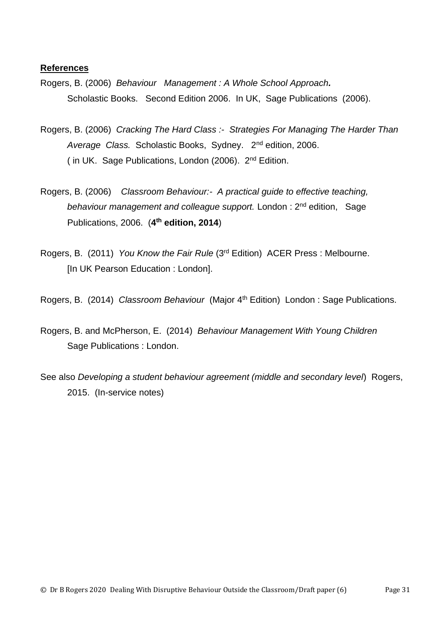#### **References**

- Rogers, B. (2006) *Behaviour Management : A Whole School Approach.* Scholastic Books. Second Edition 2006. In UK, Sage Publications (2006).
- Rogers, B. (2006) *Cracking The Hard Class :- Strategies For Managing The Harder Than Average Class.* Scholastic Books, Sydney. 2nd edition, 2006. ( in UK. Sage Publications, London (2006). 2nd Edition.
- Rogers, B. (2006) *Classroom Behaviour:- A practical guide to effective teaching,*  behaviour management and colleague support. London: 2<sup>nd</sup> edition, Sage Publications, 2006. (**4 th edition, 2014**)
- Rogers, B. (2011) *You Know the Fair Rule* (3rd Edition) ACER Press : Melbourne. [In UK Pearson Education : London].

Rogers, B. (2014) *Classroom Behaviour* (Major 4th Edition) London : Sage Publications.

- Rogers, B. and McPherson, E. (2014) *Behaviour Management With Young Children* Sage Publications : London.
- See also *Developing a student behaviour agreement (middle and secondary level*) Rogers, 2015. (In-service notes)